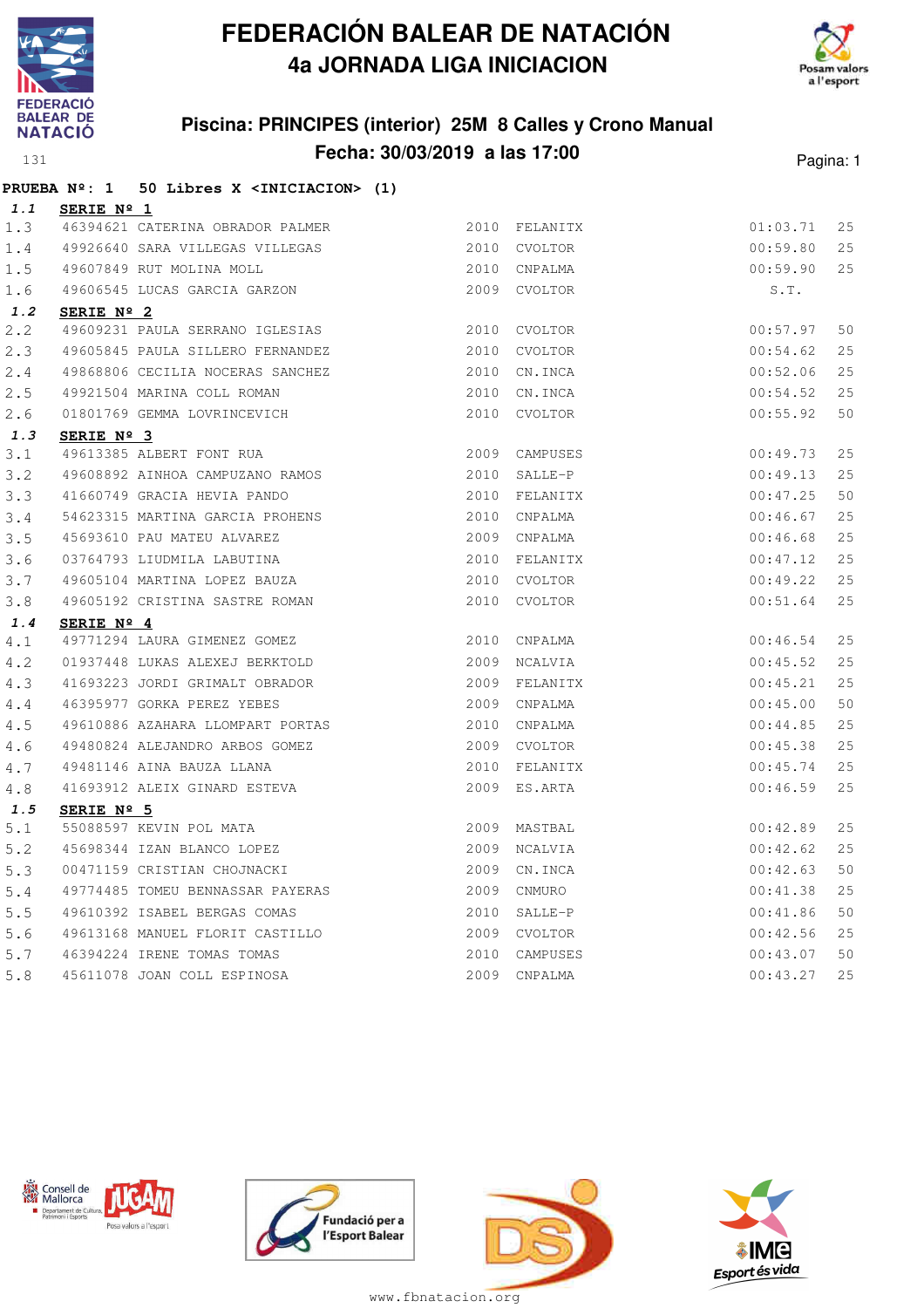

**PRUEBA Nº: 1 50 Libres X <INICIACION> (1)**

## **FEDERACIÓN BALEAR DE NATACIÓN 4a JORNADA LIGA INICIACION**



### **Piscina: PRINCIPES (interior) 25M 8 Calles y Crono Manual Fecha: 30/03/2019 a las 17:00** Pagina: 1

| 1.1   | SERIE Nº 1                                                                                                                      |      |               |          |    |
|-------|---------------------------------------------------------------------------------------------------------------------------------|------|---------------|----------|----|
| 1.3   |                                                                                                                                 |      | 2010 FELANITX | 01:03.71 | 25 |
| $1.4$ | 46394621 CATERINA OBRADOR PALMER<br>49926640 SARA VILLEGAS VILLEGAS<br>49607849 RUT MOLINA MOLL<br>49606545 LUCAS GARCIA GARZON |      | 2010 CVOLTOR  | 00:59.80 | 25 |
| 1.5   |                                                                                                                                 |      | 2010 CNPALMA  | 00:59.90 | 25 |
| 1.6   |                                                                                                                                 |      | 2009 CVOLTOR  | S.T.     |    |
| 1.2   | SERIE Nº 2                                                                                                                      |      |               |          |    |
| 2.2   | 49609231 PAULA SERRANO IGLESIAS                                                                                                 |      | 2010 CVOLTOR  | 00:57.97 | 50 |
| 2.3   | 49605845 PAULA SILLERO FERNANDEZ                                                                                                |      | 2010 CVOLTOR  | 00:54.62 | 25 |
| 2.4   | 49868806 CECILIA NOCERAS SANCHEZ                                                                                                |      | 2010 CN.INCA  | 00:52.06 | 25 |
| 2.5   | 49921504 MARINA COLL ROMAN<br>01801769 GEMMA LOVRINCEVICH                                                                       |      | 2010 CN.INCA  | 00:54.52 | 25 |
| 2.6   |                                                                                                                                 |      | 2010 CVOLTOR  | 00:55.92 | 50 |
| 1.3   | SERIE Nº 3                                                                                                                      |      |               |          |    |
| 3.1   | 49613385 ALBERT FONT RUA                                                                                                        |      | 2009 CAMPUSES | 00:49.73 | 25 |
| 3.2   | 49608892 AINHOA CAMPUZANO RAMOS                                                                                                 |      | 2010 SALLE-P  | 00:49.13 | 25 |
| 3.3   | 41660749 GRACIA HEVIA PANDO                                                                                                     |      | 2010 FELANITX | 00:47.25 | 50 |
| 3.4   | 54623315 MARTINA GARCIA PROHENS                                                                                                 | 2010 | CNPALMA       | 00:46.67 | 25 |
| 3.5   | 45693610 PAU MATEU ALVAREZ                                                                                                      |      | 2009 CNPALMA  | 00:46.68 | 25 |
| 3.6   | 03764793 LIUDMILA LABUTINA                                                                                                      |      | 2010 FELANITX | 00:47.12 | 25 |
| 3.7   | 49605104 MARTINA LOPEZ BAUZA                                                                                                    |      | 2010 CVOLTOR  | 00:49.22 | 25 |
| 3.8   | 49605192 CRISTINA SASTRE ROMAN                                                                                                  |      | 2010 CVOLTOR  | 00:51.64 | 25 |
| 1.4   | SERIE Nº 4                                                                                                                      |      |               |          |    |
| 4.1   | 49771294 LAURA GIMENEZ GOMEZ                                                                                                    |      | 2010 CNPALMA  | 00:46.54 | 25 |
| 4.2   | 01937448 LUKAS ALEXEJ BERKTOLD 2009 NCALVIA                                                                                     |      |               | 00:45.52 | 25 |
| 4.3   | 41693223 JORDI GRIMALT OBRADOR                                                                                                  |      | 2009 FELANITX | 00:45.21 | 25 |
| 4.4   | 46395977 GORKA PEREZ YEBES                                                                                                      |      | 2009 CNPALMA  | 00:45.00 | 50 |
| 4.5   | 49610886 AZAHARA LLOMPART PORTAS                                                                                                |      | 2010 CNPALMA  | 00:44.85 | 25 |
| 4.6   | 49480824 ALEJANDRO ARBOS GOMEZ                                                                                                  |      | 2009 CVOLTOR  | 00:45.38 | 25 |
| 4.7   | 49481146 AINA BAUZA LLANA                                                                                                       |      | 2010 FELANITX | 00:45.74 | 25 |
| 4.8   | 41693912 ALEIX GINARD ESTEVA                                                                                                    |      | 2009 ES.ARTA  | 00:46.59 | 25 |
| 1.5   | SERIE Nº 5<br>55088597 KEVIN POL MATA                                                                                           |      |               |          |    |
| 5.1   |                                                                                                                                 |      | 2009 MASTBAL  | 00:42.89 | 25 |
| 5.2   |                                                                                                                                 |      | 2009 NCALVIA  | 00:42.62 | 25 |
| 5.3   | 00471159 CRISTIAN CHOJNACKI                                                                                                     |      | 2009 CN. INCA | 00:42.63 | 50 |
| 5.4   | 49774485 TOMEU BENNASSAR PAYERAS                                                                                                |      | 2009 CNMURO   | 00:41.38 | 25 |
| 5.5   | 49610392 ISABEL BERGAS COMAS                                                                                                    |      | 2010 SALLE-P  | 00:41.86 | 50 |
| 5.6   | 49613168 MANUEL FLORIT CASTILLO                                                                                                 |      | 2009 CVOLTOR  | 00:42.56 | 25 |
| 5.7   | 46394224 IRENE TOMAS TOMAS                                                                                                      |      | 2010 CAMPUSES | 00:43.07 | 50 |
| 5.8   | 45611078 JOAN COLL ESPINOSA                                                                                                     |      | 2009 CNPALMA  | 00:43.27 | 25 |







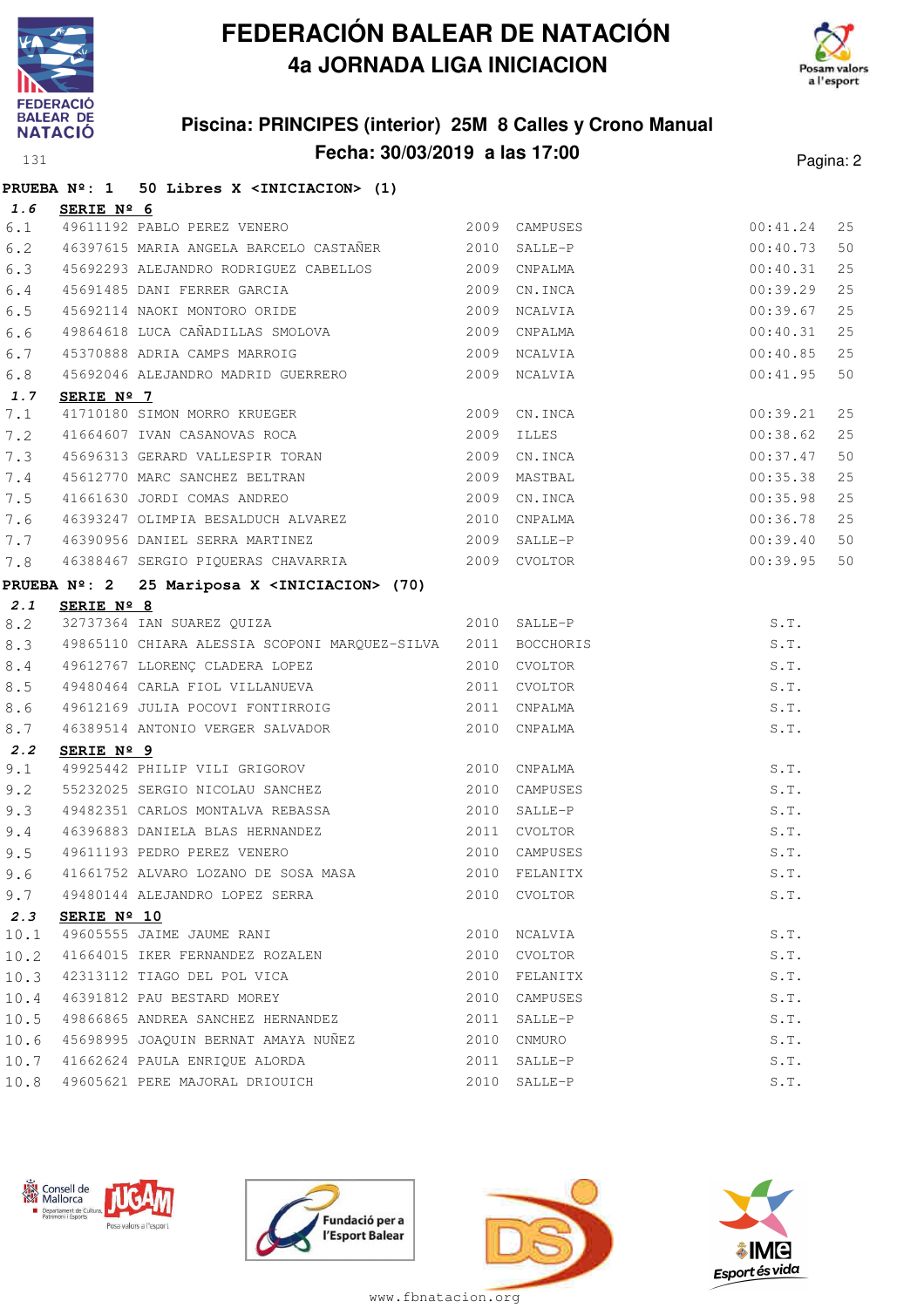

# **FEDERACIÓN BALEAR DE NATACIÓN 4a JORNADA LIGA INICIACION**



## **Piscina: PRINCIPES (interior) 25M 8 Calles y Crono Manual Fecha: 30/03/2019 a las 17:00** Pagina: 2

| 1.6  | SERIE Nº 6  | PRUEBA Nº: 1 50 Libres X <iniciacion> (1)</iniciacion>                                 |      |               |          |    |
|------|-------------|----------------------------------------------------------------------------------------|------|---------------|----------|----|
| 6.1  |             | 49611192 PABLO PEREZ VENERO 2009 CAMPUSES                                              |      |               | 00:41.24 | 25 |
| 6.2  |             | 46397615 MARIA ANGELA BARCELO CASTAÑER 2010 SALLE-P                                    |      |               | 00:40.73 | 50 |
| 6.3  |             | 45692293 ALEJANDRO RODRIGUEZ CABELLOS 2009 CNPALMA                                     |      |               | 00:40.31 | 25 |
| 6.4  |             | 45691485 DANI FERRER GARCIA 2009 CN.INCA<br>45692114 NAOKI MONTORO ORIDE 2009 NCALVIA  |      |               | 00:39.29 | 25 |
| 6.5  |             |                                                                                        |      |               | 00:39.67 | 25 |
| 6.6  |             | 49864618 LUCA CAÑADILLAS SMOLOVA 2009 CNPALMA                                          |      |               | 00:40.31 | 25 |
| 6.7  |             | 49864616 LOCA CAMPS MARROIG<br>45370888 ADRIA CAMPS MARROIG 2009 NCALVIA               |      |               | 00:40.85 | 25 |
| 6.8  |             | 45692046 ALEJANDRO MADRID GUERRERO 2009 NCALVIA                                        |      |               | 00:41.95 | 50 |
| 1.7  | SERIE Nº 7  |                                                                                        |      |               |          |    |
| 7.1  |             | 41710180 SIMON MORRO KRUEGER 2009 CN.INCA                                              |      |               | 00:39.21 | 25 |
| 7.2  |             | 41664607 IVAN CASANOVAS ROCA 2009 ILLES                                                |      |               | 00:38.62 | 25 |
| 7.3  |             | 45696313 GERARD VALLESPIR TORAN 2009 CN.INCA                                           |      |               | 00:37.47 | 50 |
| 7.4  |             | 45612770 MARC SANCHEZ BELTRAN 2009 MASTBAL<br>41661630 JORDI COMAS ANDREO 2009 CN.INCA |      |               | 00:35.38 | 25 |
| 7.5  |             |                                                                                        |      |               | 00:35.98 | 25 |
| 7.6  |             | 46393247 OLIMPIA BESALDUCH ALVAREZ 2010 CNPALMA                                        |      |               | 00:36.78 | 25 |
| 7.7  |             | 46390956 DANIEL SERRA MARTINEZ 2009 SALLE-P                                            |      |               | 00:39.40 | 50 |
| 7.8  |             | 46388467 SERGIO PIQUERAS CHAVARRIA 2009 CVOLTOR                                        |      |               | 00:39.95 | 50 |
|      |             | PRUEBA Nº: 2 25 Mariposa X <iniciacion> (70)</iniciacion>                              |      |               |          |    |
| 2.1  | SERIE Nº 8  |                                                                                        |      |               |          |    |
| 8.2  |             | 32737364 IAN SUAREZ QUIZA 2010 SALLE-P                                                 |      |               | S.T.     |    |
| 8.3  |             | 49865110 CHIARA ALESSIA SCOPONI MARQUEZ-SILVA 2011 BOCCHORIS                           |      |               | S.T.     |    |
| 8.4  |             | 49612767 LLORENÇ CLADERA LOPEZ 2010 CVOLTOR                                            |      |               | S.T.     |    |
| 8.5  |             | 49480464 CARLA FIOL VILLANUEVA                                                         |      | 2011 CVOLTOR  | S.T.     |    |
| 8.6  |             | 49612169 JULIA POCOVI FONTIRROIG 2011 CNPALMA                                          |      |               | S.T.     |    |
| 8.7  |             | 46389514 ANTONIO VERGER SALVADOR                                                       |      | 2010 CNPALMA  | S.T.     |    |
| 2.2  | SERIE Nº 9  |                                                                                        |      |               |          |    |
| 9.1  |             | 49925442 PHILIP VILI GRIGOROV 2010 CNPALMA                                             |      |               | S.T.     |    |
| 9.2  |             | 55232025 SERGIO NICOLAU SANCHEZ 2010 CAMPUSES                                          |      |               | S.T.     |    |
| 9.3  |             | 49482351 CARLOS MONTALVA REBASSA                                                       |      | 2010 SALLE-P  | S.T.     |    |
| 9.4  |             |                                                                                        |      | 2011 CVOLTOR  | S.T.     |    |
| 9.5  |             | 46396883 DANIELA BLAS HERNANDEZ<br>49611193 PEDRO PEREZ VENERO<br>41661336 PE          |      | 2010 CAMPUSES | S.T.     |    |
| 9.6  |             | 41661752 ALVARO LOZANO DE SOSA MASA                                                    |      | 2010 FELANITX | S.T.     |    |
| 9.7  |             | 49480144 ALEJANDRO LOPEZ SERRA                                                         |      | 2010 CVOLTOR  | S.T.     |    |
| 2.3  | SERIE Nº 10 |                                                                                        |      |               |          |    |
| 10.1 |             | 49605555 JAIME JAUME RANI                                                              | 2010 | NCALVIA       | S.T.     |    |
| 10.2 |             | 41664015 IKER FERNANDEZ ROZALEN                                                        | 2010 | CVOLTOR       | S.T.     |    |
| 10.3 |             | 42313112 TIAGO DEL POL VICA                                                            | 2010 | FELANITX      | S.T.     |    |
| 10.4 |             | 46391812 PAU BESTARD MOREY                                                             |      | 2010 CAMPUSES | S.T.     |    |
| 10.5 |             | 49866865 ANDREA SANCHEZ HERNANDEZ                                                      | 2011 | SALLE-P       | S.T.     |    |
| 10.6 |             | 45698995 JOAQUIN BERNAT AMAYA NUÑEZ                                                    | 2010 | CNMURO        | S.T.     |    |
| 10.7 |             | 41662624 PAULA ENRIQUE ALORDA                                                          | 2011 | SALLE-P       | S.T.     |    |
| 10.8 |             | 49605621 PERE MAJORAL DRIOUICH                                                         |      | 2010 SALLE-P  | S.T.     |    |







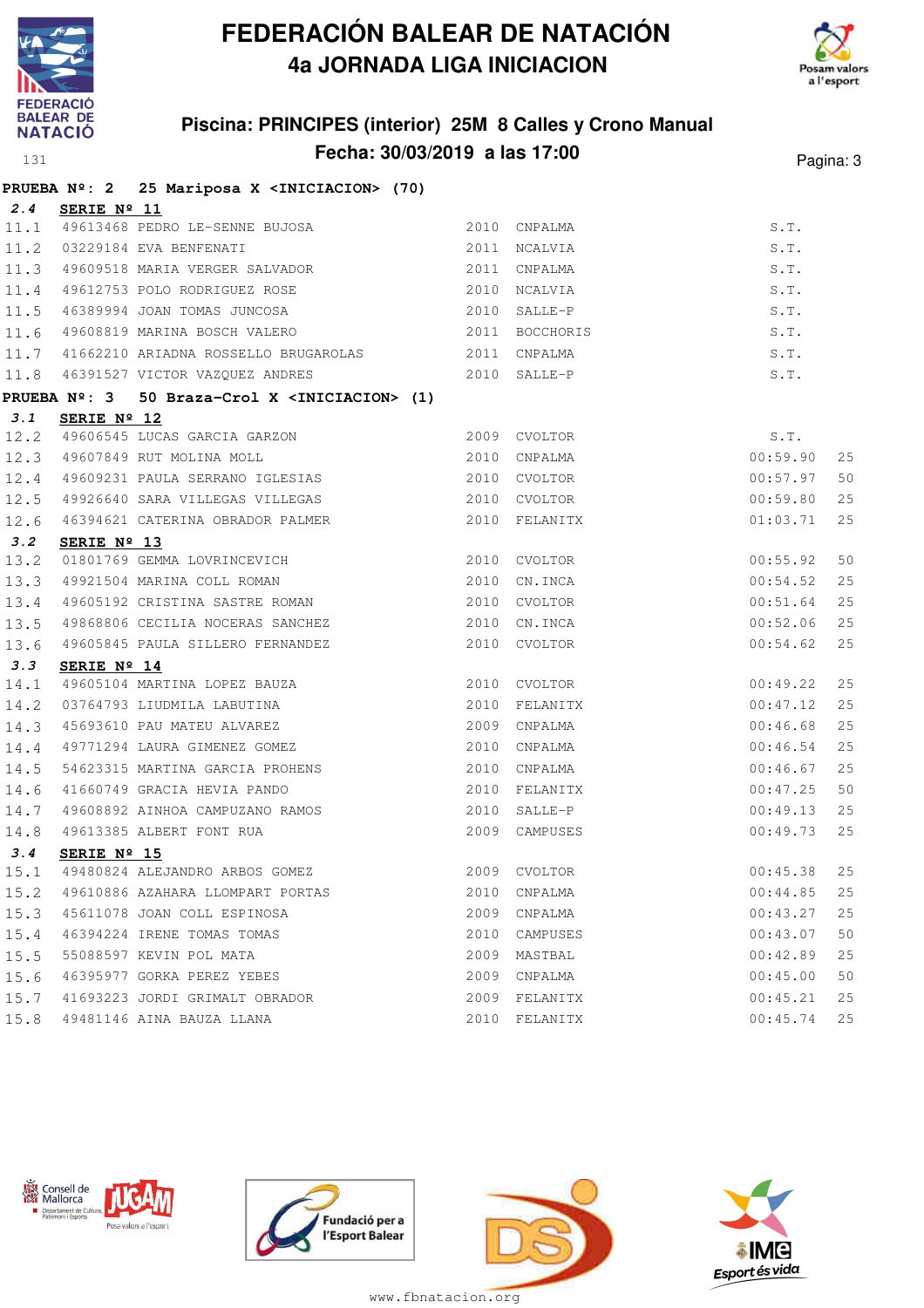

# **FEDERACIÓN BALEAR DE NATACIÓN 4a JORNADA LIGA INICIACION**



## **Piscina: PRINCIPES (interior) 25M 8 Calles y Crono Manual Fecha: 30/03/2019 a las 17:00** Pagina: 3

|      |                      | PRUEBA Nº: 2 25 Mariposa X <iniciacion> (70)</iniciacion>                                                                                         |               |               |    |
|------|----------------------|---------------------------------------------------------------------------------------------------------------------------------------------------|---------------|---------------|----|
| 2.4  | SERIE Nº 11          |                                                                                                                                                   |               |               |    |
|      |                      | 11.1 49613468 PEDRO LE-SENNE BUJOSA 2010 CNPALMA<br>11.2 03229184 EVA BENFENATI 2011 NCALVIA<br>11.3 49609518 MARIA VERGER SALVADOR 2011 CNPALMA  |               | S.T.          |    |
|      |                      |                                                                                                                                                   |               | S.T.          |    |
|      |                      |                                                                                                                                                   |               | S.T.          |    |
|      |                      | 11.4 49612753 POLO RODRIGUEZ ROSE 2010 NCALVIA<br>11.5 46389994 JOAN TOMAS JUNCOSA 2010 SALLE-P                                                   |               | S.T.          |    |
|      |                      |                                                                                                                                                   |               | S.T.          |    |
| 11.6 |                      | 49608819 MARINA BOSCH VALERO 2011 BOCCHORIS                                                                                                       |               | S.T.          |    |
| 11.7 |                      | 41662210 ARIADNA ROSSELLO BRUGAROLAS                                                                                                              | 2011 CNPALMA  | S.T.          |    |
| 11.8 |                      | 46391527 VICTOR VAZQUEZ ANDRES 2010 SALLE-P                                                                                                       |               | S.T.          |    |
|      |                      | PRUEBA Nº: 3 50 Braza-Crol X <iniciacion> (1)</iniciacion>                                                                                        |               |               |    |
| 3.1  | SERIE $N^{\circ}$ 12 |                                                                                                                                                   |               |               |    |
|      |                      |                                                                                                                                                   | 2009 CVOLTOR  | S.T.          |    |
|      |                      | 12.2 49606545 LUCAS GARCIA GARZON 2009 CVOLTOR<br>12.3 49607849 RUT MOLINA MOLL 2010 CNPALMA<br>12.4 49609231 PAULA SERRANO IGLESIAS 2010 CVOLTOR | 2010 CNPALMA  | 00:59.90      | 25 |
|      |                      |                                                                                                                                                   |               | 00:57.97      | 50 |
| 12.5 |                      | 49926640 SARA VILLEGAS VILLEGAS 2010 CVOLTOR                                                                                                      |               | 00:59.80      | 25 |
| 12.6 |                      | 46394621 CATERINA OBRADOR PALMER 2010 FELANITX                                                                                                    |               | 01:03.71      | 25 |
| 3.2  | SERIE Nº 13          |                                                                                                                                                   |               |               |    |
| 13.2 |                      | 01801769 GEMMA LOVRINCEVICH<br>49921504 MARINA COLL ROMAN 2010 CN.INCA                                                                            |               | 00:55.92      | 50 |
| 13.3 |                      |                                                                                                                                                   |               | 00:54.52      | 25 |
| 13.4 |                      | 49605192 CRISTINA SASTRE ROMAN 2010 CVOLTOR                                                                                                       |               | 00:51.64      | 25 |
| 13.5 |                      | 49868806 CECILIA NOCERAS SANCHEZ 2010 CN.INCA                                                                                                     |               | 00:52.06      | 25 |
| 13.6 |                      | 49605845 PAULA SILLERO FERNANDEZ 2010 CVOLTOR                                                                                                     |               | 00:54.62      | 25 |
| 3.3  | SERIE Nº 14          |                                                                                                                                                   |               |               |    |
| 14.1 |                      | 49605104 MARTINA LOPEZ BAUZA 2010 CVOLTOR                                                                                                         |               | 00:49.22      | 25 |
| 14.2 |                      | 93764793 LIUDMILA LABUTINA (2010 FELANITX)<br>15693610 PAU MATEU ALVAREZ (2009 CNPALMA (2010 PAUMA)<br>19771294 LAURA GIMENEZ GOMEZ (2010 CNPALMA |               | 00:47.12      | 25 |
| 14.3 |                      |                                                                                                                                                   |               | 00:46.68      | 25 |
| 14.4 |                      |                                                                                                                                                   |               | 00:46.54      | 25 |
| 14.5 |                      | 54623315 MARTINA GARCIA PROHENS 2010 CNPALMA                                                                                                      |               | 00:46.67      | 25 |
| 14.6 |                      |                                                                                                                                                   |               | 00:47.25      | 50 |
| 14.7 |                      |                                                                                                                                                   |               | 00:49.13      | 25 |
| 14.8 |                      | 49613385 ALBERT FONT RUA 2009 CAMPUSES                                                                                                            |               | 00:49.73      | 25 |
| 3.4  | SERIE Nº 15          |                                                                                                                                                   |               |               |    |
| 15.1 |                      |                                                                                                                                                   |               | $00:45.38$ 25 |    |
| 15.2 |                      | 49610886 AZAHARA LLOMPART PORTAS                                                                                                                  | 2010 CNPALMA  | 00:44.85      | 25 |
| 15.3 |                      | 45611078 JOAN COLL ESPINOSA                                                                                                                       | 2009 CNPALMA  | 00:43.27      | 25 |
| 15.4 |                      | 46394224 IRENE TOMAS TOMAS                                                                                                                        | 2010 CAMPUSES | 00:43.07      | 50 |
| 15.5 |                      | 55088597 KEVIN POL MATA                                                                                                                           | 2009 MASTBAL  | 00:42.89      | 25 |
| 15.6 |                      | 46395977 GORKA PEREZ YEBES                                                                                                                        | 2009 CNPALMA  | 00:45.00      | 50 |
| 15.7 |                      | 41693223 JORDI GRIMALT OBRADOR                                                                                                                    | 2009 FELANITX | 00:45.21      | 25 |
| 15.8 |                      | 49481146 AINA BAUZA LLANA                                                                                                                         | 2010 FELANITX | 00:45.74      | 25 |